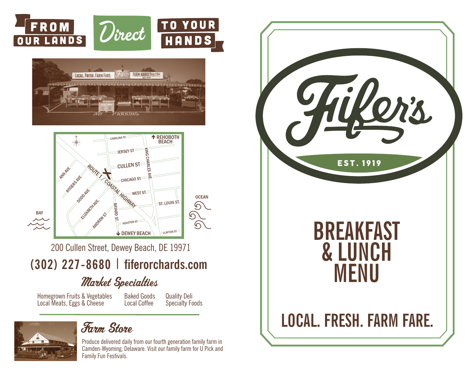





200 Cullen Street, Dewey Beach, DE 19971

**(302) 227-8680 | fiferorchards.com**

# Market Specialties

Homegrown Fruits & Vegetables Local Meats, Eggs & Cheese

Baked Goods Local Coffee Quality Deli Specialty Foods



## Farm Store

Produce delivered daily from our fourth generation family farm in Camden-Wyoming, Delaware. Visit our family farm for U Pick and Family Fun Festivals.